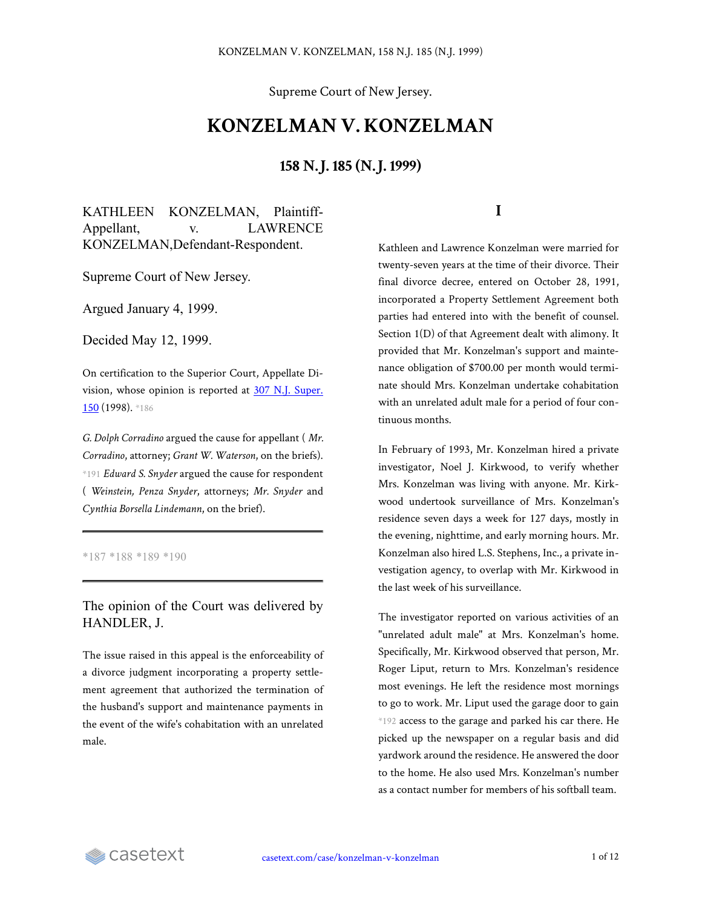Supreme Court of New Jersey.

# **KONZELMAN V. KONZELMAN**

## **158 N.J. 185 (N.J. 1999)**

KATHLEEN KONZELMAN, Plaintiff-Appellant, v. LAWRENCE KONZELMAN,Defendant-Respondent.

Supreme Court of New Jersey.

Argued January 4, 1999.

Decided May 12, 1999.

On certification to the Superior Court, Appellate Division, whose opinion is reported at 307 N.J. [Super.](https://casetext.com/case/konzelman-v-konzelman-2) [150](https://casetext.com/case/konzelman-v-konzelman-2) (1998). \*186

*G. Dolph Corradino* argued the cause for appellant ( *Mr. Corradino*, attorney; *Grant W. Waterson*, on the briefs). \*191 *Edward S. Snyder* argued the cause for respondent ( *Weinstein, Penza Snyder*, attorneys; *Mr. Snyder* and *Cynthia Borsella Lindemann*, on the brief).

\*187 \*188 \*189 \*190

The opinion of the Court was delivered by HANDLER, J.

The issue raised in this appeal is the enforceability of a divorce judgment incorporating a property settlement agreement that authorized the termination of the husband's support and maintenance payments in the event of the wife's cohabitation with an unrelated male.

#### **I**

Kathleen and Lawrence Konzelman were married for twenty-seven years at the time of their divorce. Their final divorce decree, entered on October 28, 1991, incorporated a Property Settlement Agreement both parties had entered into with the benefit of counsel. Section 1(D) of that Agreement dealt with alimony. It provided that Mr. Konzelman's support and maintenance obligation of \$700.00 per month would terminate should Mrs. Konzelman undertake cohabitation with an unrelated adult male for a period of four continuous months.

In February of 1993, Mr. Konzelman hired a private investigator, Noel J. Kirkwood, to verify whether Mrs. Konzelman was living with anyone. Mr. Kirkwood undertook surveillance of Mrs. Konzelman's residence seven days a week for 127 days, mostly in the evening, nighttime, and early morning hours. Mr. Konzelman also hired L.S. Stephens, Inc., a private investigation agency, to overlap with Mr. Kirkwood in the last week of his surveillance.

The investigator reported on various activities of an "unrelated adult male" at Mrs. Konzelman's home. Specifically, Mr. Kirkwood observed that person, Mr. Roger Liput, return to Mrs. Konzelman's residence most evenings. He left the residence most mornings to go to work. Mr. Liput used the garage door to gain \*192 access to the garage and parked his car there. He picked up the newspaper on a regular basis and did yardwork around the residence. He answered the door to the home. He also used Mrs. Konzelman's number as a contact number for members of his softball team.

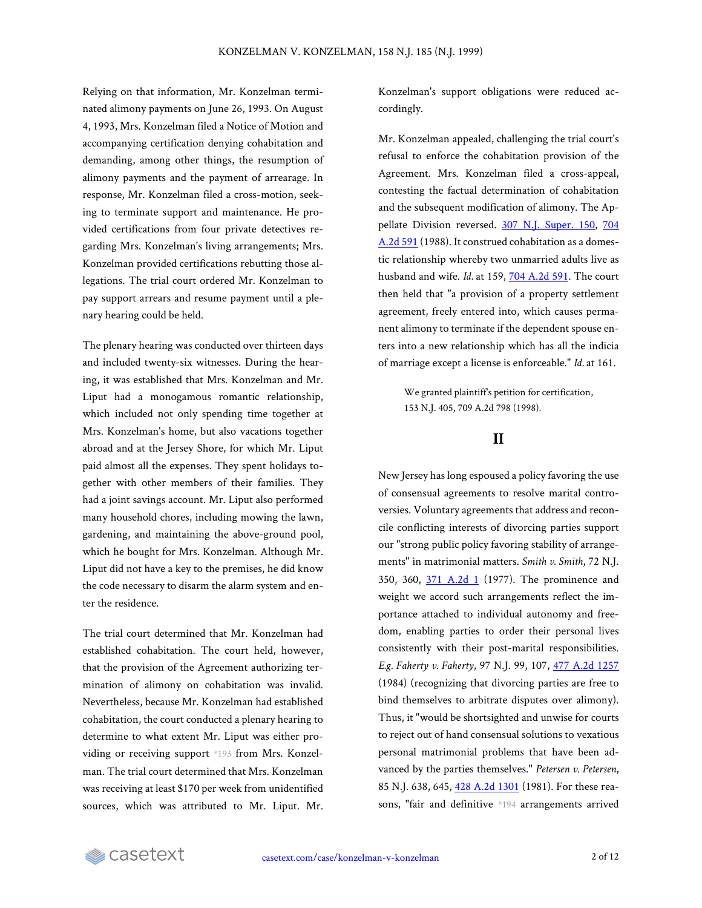Relying on that information, Mr. Konzelman terminated alimony payments on June 26, 1993. On August 4, 1993, Mrs. Konzelman filed a Notice of Motion and accompanying certification denying cohabitation and demanding, among other things, the resumption of alimony payments and the payment of arrearage. In response, Mr. Konzelman filed a cross-motion, seeking to terminate support and maintenance. He provided certifications from four private detectives regarding Mrs. Konzelman's living arrangements; Mrs. Konzelman provided certifications rebutting those allegations. The trial court ordered Mr. Konzelman to pay support arrears and resume payment until a plenary hearing could be held.

The plenary hearing was conducted over thirteen days and included twenty-six witnesses. During the hearing, it was established that Mrs. Konzelman and Mr. Liput had a monogamous romantic relationship, which included not only spending time together at Mrs. Konzelman's home, but also vacations together abroad and at the Jersey Shore, for which Mr. Liput paid almost all the expenses. They spent holidays together with other members of their families. They had a joint savings account. Mr. Liput also performed many household chores, including mowing the lawn, gardening, and maintaining the above-ground pool, which he bought for Mrs. Konzelman. Although Mr. Liput did not have a key to the premises, he did know the code necessary to disarm the alarm system and enter the residence.

The trial court determined that Mr. Konzelman had established cohabitation. The court held, however, that the provision of the Agreement authorizing termination of alimony on cohabitation was invalid. Nevertheless, because Mr. Konzelman had established cohabitation, the court conducted a plenary hearing to determine to what extent Mr. Liput was either providing or receiving support \*193 from Mrs. Konzelman. The trial court determined that Mrs. Konzelman was receiving at least \$170 per week from unidentified sources, which was attributed to Mr. Liput. Mr.

Konzelman's support obligations were reduced accordingly.

Mr. Konzelman appealed, challenging the trial court's refusal to enforce the cohabitation provision of the Agreement. Mrs. Konzelman filed a cross-appeal, contesting the factual determination of cohabitation and the subsequent modification of alimony. The Ap-pellate Division reversed. 307 N.J. [Super.](https://casetext.com/case/konzelman-v-konzelman-2) 150, [704](https://casetext.com/case/konzelman-v-konzelman-2) [A.2d](https://casetext.com/case/konzelman-v-konzelman-2) 591 (1988). It construed cohabitation as a domestic relationship whereby two unmarried adults live as husband and wife. *Id.* at 159, 704 [A.2d](https://casetext.com/case/konzelman-v-konzelman-2) 591. The court then held that "a provision of a property settlement agreement, freely entered into, which causes permanent alimony to terminate if the dependent spouse enters into a new relationship which has all the indicia of marriage except a license is enforceable." *Id.* at 161.

> We granted plaintiff's petition for certification, 153 N.J. 405, 709 A.2d 798 (1998).

#### **II**

New Jersey has long espoused a policy favoring the use of consensual agreements to resolve marital controversies. Voluntary agreements that address and reconcile conflicting interests of divorcing parties support our "strong public policy favoring stability of arrangements" in matrimonial matters. *Smith v. Smith*, 72 N.J. 350, 360, 371 [A.2d](https://casetext.com/case/smith-v-smith-1561) 1 (1977). The prominence and weight we accord such arrangements reflect the importance attached to individual autonomy and freedom, enabling parties to order their personal lives consistently with their post-marital responsibilities. *E.g. Faherty v. Faherty*, 97 N.J. 99, 107, 477 A.2d [1257](https://casetext.com/case/faherty-v-faherty) (1984) (recognizing that divorcing parties are free to bind themselves to arbitrate disputes over alimony). Thus, it "would be shortsighted and unwise for courts to reject out of hand consensual solutions to vexatious personal matrimonial problems that have been advanced by the parties themselves." *Petersen v. Petersen*, 85 N.J. 638, 645, 428 A.2d [1301](https://casetext.com/case/petersen-v-petersen-18) (1981). For these reasons, "fair and definitive \*194 arrangements arrived

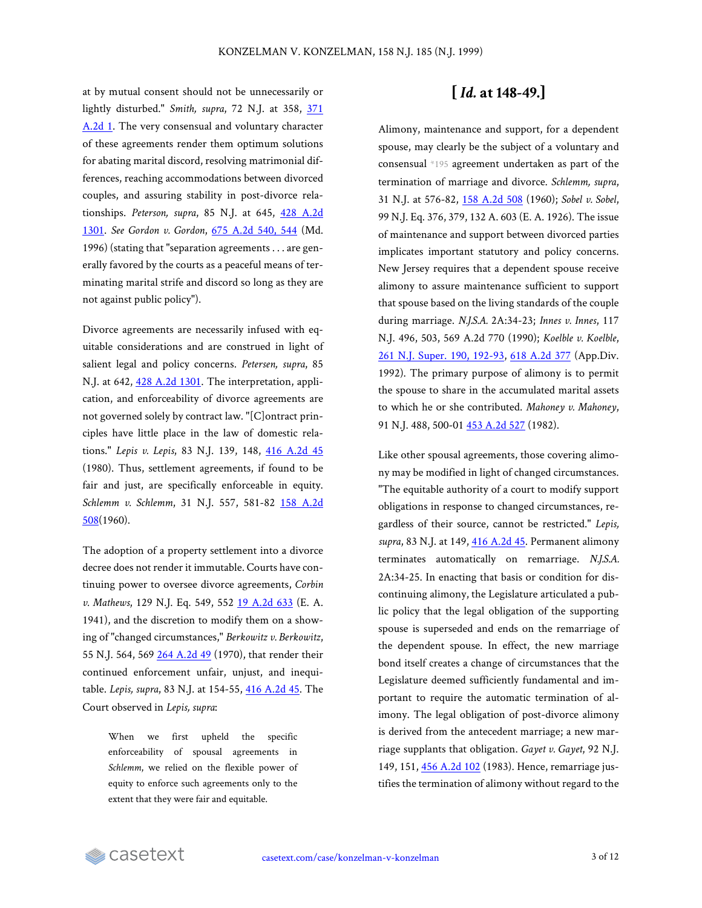at by mutual consent should not be unnecessarily or lightly disturbed." *Smith, supra*, 72 N.J. at 358, [371](https://casetext.com/case/smith-v-smith-1561) [A.2d](https://casetext.com/case/smith-v-smith-1561) 1. The very consensual and voluntary character of these agreements render them optimum solutions for abating marital discord, resolving matrimonial differences, reaching accommodations between divorced couples, and assuring stability in post-divorce relationships. *Peterson, supra*, 85 N.J. at 645, 428 [A.2d](https://casetext.com/case/petersen-v-petersen-18) [1301.](https://casetext.com/case/petersen-v-petersen-18) *See Gordon v. Gordon*, 675 [A.2d](https://casetext.com/case/gordon-v-gordon-162#p544) 540, 544 (Md. 1996) (stating that "separation agreements . . . are generally favored by the courts as a peaceful means of terminating marital strife and discord so long as they are not against public policy").

Divorce agreements are necessarily infused with equitable considerations and are construed in light of salient legal and policy concerns. *Petersen, supra*, 85 N.J. at 642, 428 A.2d [1301.](https://casetext.com/case/petersen-v-petersen-18) The interpretation, application, and enforceability of divorce agreements are not governed solely by contract law. "[C]ontract principles have little place in the law of domestic relations." *Lepis v. Lepis*, 83 N.J. 139, 148, 416 [A.2d](https://casetext.com/case/lepis-v-lepis-1) 45 (1980). Thus, settlement agreements, if found to be fair and just, are specifically enforceable in equity. *Schlemm v. Schlemm*, 31 N.J. 557, 581-82 158 [A.2d](https://casetext.com/case/schlemm-v-schlemm) [508](https://casetext.com/case/schlemm-v-schlemm)(1960).

The adoption of a property settlement into a divorce decree does not render it immutable. Courts have continuing power to oversee divorce agreements, *Corbin v. Mathews*, 129 N.J. Eq. 549, 552 19 [A.2d](https://casetext.com/case/corbin-v-mathews-1) 633 (E. A. 1941), and the discretion to modify them on a showing of "changed circumstances," *Berkowitz v. Berkowitz*, 55 N.J. 564, 569 264 [A.2d](https://casetext.com/case/berkowitz-v-berkowitz-21) 49 (1970), that render their continued enforcement unfair, unjust, and inequitable. *Lepis, supra*, 83 N.J. at 154-55, 416 [A.2d](https://casetext.com/case/lepis-v-lepis-1) 45. The Court observed in *Lepis, supra*:

> When we first upheld the specific enforceability of spousal agreements in *Schlemm*, we relied on the flexible power of equity to enforce such agreements only to the extent that they were fair and equitable.

## **[** *Id.* **at 148-49.]**

Alimony, maintenance and support, for a dependent spouse, may clearly be the subject of a voluntary and consensual \*195 agreement undertaken as part of the termination of marriage and divorce. *Schlemm, supra*, 31 N.J. at 576-82, 158 [A.2d](https://casetext.com/case/schlemm-v-schlemm) 508 (1960); *Sobel v. Sobel*, 99 N.J. Eq. 376, 379, 132 A. 603 (E. A. 1926). The issue of maintenance and support between divorced parties implicates important statutory and policy concerns. New Jersey requires that a dependent spouse receive alimony to assure maintenance sufficient to support that spouse based on the living standards of the couple during marriage. *N.J.S.A.* 2A:34-23; *Innes v. Innes*, 117 N.J. 496, 503, 569 A.2d 770 (1990); *Koelble v. Koelble*, 261 N.J. Super. 190, [192-93,](https://casetext.com/case/koelble-v-koelble#p192) 618 [A.2d](https://casetext.com/case/koelble-v-koelble) 377 (App.Div. 1992). The primary purpose of alimony is to permit the spouse to share in the accumulated marital assets to which he or she contributed. *Mahoney v. Mahoney*, 91 N.J. 488, 500-01 [453 A.2d 527](https://casetext.com/case/mahoney-v-mahoney-35) (1982).

Like other spousal agreements, those covering alimony may be modified in light of changed circumstances. "The equitable authority of a court to modify support obligations in response to changed circumstances, regardless of their source, cannot be restricted." *Lepis, supra*, 83 N.J. at 149, 416 [A.2d](https://casetext.com/case/lepis-v-lepis-1) 45. Permanent alimony terminates automatically on remarriage. *N.J.S.A.* 2A:34-25. In enacting that basis or condition for discontinuing alimony, the Legislature articulated a public policy that the legal obligation of the supporting spouse is superseded and ends on the remarriage of the dependent spouse. In effect, the new marriage bond itself creates a change of circumstances that the Legislature deemed sufficiently fundamental and important to require the automatic termination of alimony. The legal obligation of post-divorce alimony is derived from the antecedent marriage; a new marriage supplants that obligation. *Gayet v. Gayet*, 92 N.J. 149, 151, 456 [A.2d](https://casetext.com/case/gayet-v-gayet) 102 (1983). Hence, remarriage justifies the termination of alimony without regard to the

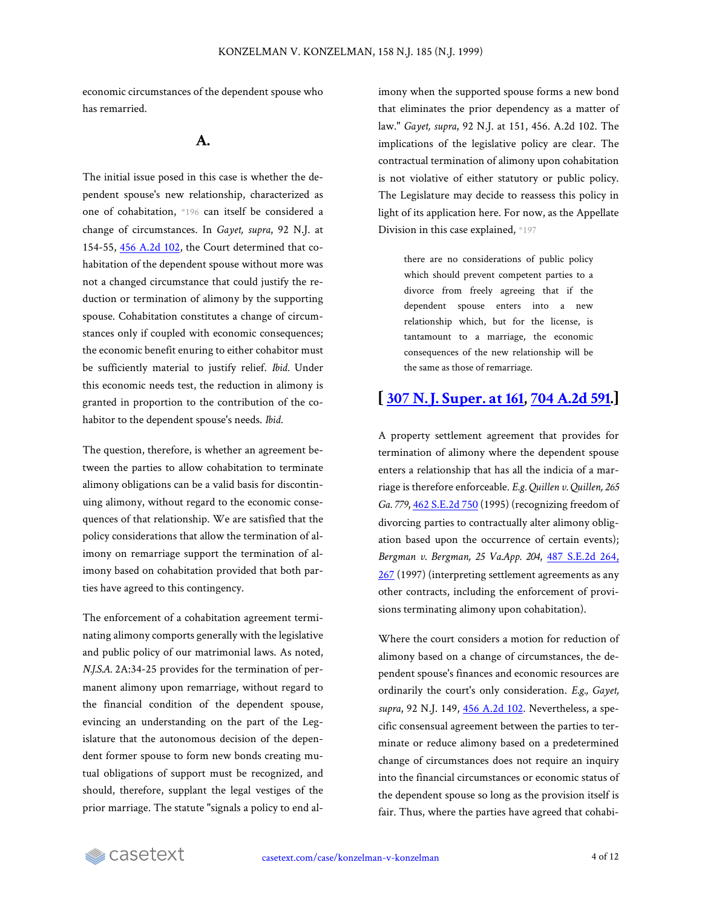economic circumstances of the dependent spouse who has remarried.

## **A.**

The initial issue posed in this case is whether the dependent spouse's new relationship, characterized as one of cohabitation, \*196 can itself be considered a change of circumstances. In *Gayet, supra*, 92 N.J. at 154-55, 456 [A.2d](https://casetext.com/case/gayet-v-gayet) 102, the Court determined that cohabitation of the dependent spouse without more was not a changed circumstance that could justify the reduction or termination of alimony by the supporting spouse. Cohabitation constitutes a change of circumstances only if coupled with economic consequences; the economic benefit enuring to either cohabitor must be sufficiently material to justify relief. *Ibid.* Under this economic needs test, the reduction in alimony is granted in proportion to the contribution of the cohabitor to the dependent spouse's needs. *Ibid.*

The question, therefore, is whether an agreement between the parties to allow cohabitation to terminate alimony obligations can be a valid basis for discontinuing alimony, without regard to the economic consequences of that relationship. We are satisfied that the policy considerations that allow the termination of alimony on remarriage support the termination of alimony based on cohabitation provided that both parties have agreed to this contingency.

The enforcement of a cohabitation agreement terminating alimony comports generally with the legislative and public policy of our matrimonial laws. As noted, *N.J.S.A.* 2A:34-25 provides for the termination of permanent alimony upon remarriage, without regard to the financial condition of the dependent spouse, evincing an understanding on the part of the Legislature that the autonomous decision of the dependent former spouse to form new bonds creating mutual obligations of support must be recognized, and should, therefore, supplant the legal vestiges of the prior marriage. The statute "signals a policy to end alimony when the supported spouse forms a new bond that eliminates the prior dependency as a matter of law." *Gayet, supra*, 92 N.J. at 151, 456. A.2d 102. The implications of the legislative policy are clear. The contractual termination of alimony upon cohabitation is not violative of either statutory or public policy. The Legislature may decide to reassess this policy in light of its application here. For now, as the Appellate Division in this case explained, \*197

> there are no considerations of public policy which should prevent competent parties to a divorce from freely agreeing that if the dependent spouse enters into a new relationship which, but for the license, is tantamount to a marriage, the economic consequences of the new relationship will be the same as those of remarriage.

## **[ [307 N.J. Super. at 161](https://casetext.com/case/konzelman-v-konzelman-2#p161), [704 A.2d 591.](https://casetext.com/case/konzelman-v-konzelman-2)]**

A property settlement agreement that provides for termination of alimony where the dependent spouse enters a relationship that has all the indicia of a marriage is therefore enforceable. *E.g. Quillen v. Quillen, 265 Ga. 779*, 462 [S.E.2d](https://casetext.com/case/quillen-v-quillen-5) 750 (1995) (recognizing freedom of divorcing parties to contractually alter alimony obligation based upon the occurrence of certain events); *Bergman v. Bergman, 25 Va.App. 204*, 487 [S.E.2d](https://casetext.com/case/bergman-v-bergman-19#p267) 264, [267](https://casetext.com/case/bergman-v-bergman-19#p267) (1997) (interpreting settlement agreements as any other contracts, including the enforcement of provisions terminating alimony upon cohabitation).

Where the court considers a motion for reduction of alimony based on a change of circumstances, the dependent spouse's finances and economic resources are ordinarily the court's only consideration. *E.g., Gayet, supra*, 92 N.J. 149, 456 [A.2d](https://casetext.com/case/gayet-v-gayet) 102. Nevertheless, a specific consensual agreement between the parties to terminate or reduce alimony based on a predetermined change of circumstances does not require an inquiry into the financial circumstances or economic status of the dependent spouse so long as the provision itself is fair. Thus, where the parties have agreed that cohabi-

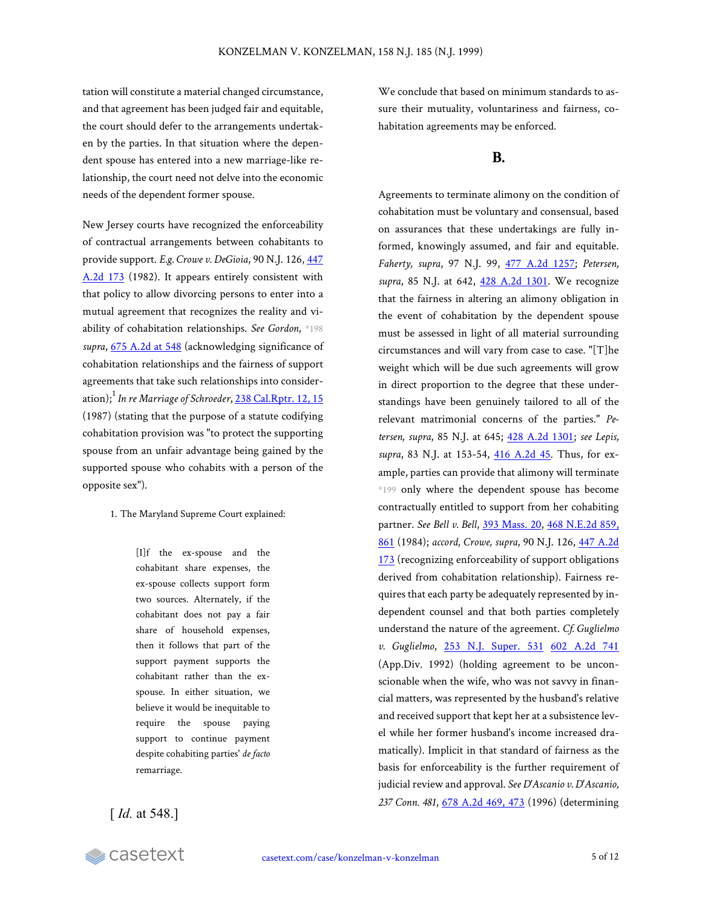tation will constitute a material changed circumstance, and that agreement has been judged fair and equitable, the court should defer to the arrangements undertaken by the parties. In that situation where the dependent spouse has entered into a new marriage-like relationship, the court need not delve into the economic needs of the dependent former spouse.

New Jersey courts have recognized the enforceability of contractual arrangements between cohabitants to provide support. *E.g. Crowe v. DeGioia*, 90 N.J. 126, [447](https://casetext.com/case/crowe-v-de-gioia-3) [A.2d](https://casetext.com/case/crowe-v-de-gioia-3) 173 (1982). It appears entirely consistent with that policy to allow divorcing persons to enter into a mutual agreement that recognizes the reality and viability of cohabitation relationships. *See Gordon*, \*198 *supra*, 675 [A.2d](https://casetext.com/case/gordon-v-gordon-162#p548) at 548 (acknowledging significance of cohabitation relationships and the fairness of support agreements that take such relationships into consideration);<sup>1</sup> *In re Marriage of Schroeder*, 238 [Cal.Rptr.](https://casetext.com/case/in-re-marriage-of-schroeder#p15) 12, 15 (1987) (stating that the purpose of a statute codifying cohabitation provision was "to protect the supporting spouse from an unfair advantage being gained by the supported spouse who cohabits with a person of the opposite sex").

1. The Maryland Supreme Court explained:

[I]f the ex-spouse and the cohabitant share expenses, the ex-spouse collects support form two sources. Alternately, if the cohabitant does not pay a fair share of household expenses, then it follows that part of the support payment supports the cohabitant rather than the exspouse. In either situation, we believe it would be inequitable to require the spouse paying support to continue payment despite cohabiting parties' *de facto* remarriage.

[*Id.* at 548.]

We conclude that based on minimum standards to assure their mutuality, voluntariness and fairness, cohabitation agreements may be enforced.

### **B.**

Agreements to terminate alimony on the condition of cohabitation must be voluntary and consensual, based on assurances that these undertakings are fully informed, knowingly assumed, and fair and equitable. *Faherty, supra*, 97 N.J. 99, 477 [A.2d](https://casetext.com/case/faherty-v-faherty) 1257; *Petersen, supra*, 85 N.J. at 642, 428 A.2d [1301.](https://casetext.com/case/petersen-v-petersen-18) We recognize that the fairness in altering an alimony obligation in the event of cohabitation by the dependent spouse must be assessed in light of all material surrounding circumstances and will vary from case to case. "[T]he weight which will be due such agreements will grow in direct proportion to the degree that these understandings have been genuinely tailored to all of the relevant matrimonial concerns of the parties." *Petersen, supra*, 85 N.J. at 645; 428 A.2d [1301;](https://casetext.com/case/petersen-v-petersen-18) *see Lepis, supra*, 83 N.J. at 153-54, 416 [A.2d](https://casetext.com/case/lepis-v-lepis-1) 45. Thus, for example, parties can provide that alimony will terminate \*199 only where the dependent spouse has become contractually entitled to support from her cohabiting partner. *See Bell v. Bell*, 393 [Mass.](https://casetext.com/case/bell-v-bell-21) 20, 468 [N.E.2d](https://casetext.com/case/bell-v-bell-21#p861) 859, [861](https://casetext.com/case/bell-v-bell-21#p861) (1984); *accord, Crowe, supra*, 90 N.J. 126, 447 [A.2d](https://casetext.com/case/crowe-v-de-gioia-3) [173](https://casetext.com/case/crowe-v-de-gioia-3) (recognizing enforceability of support obligations derived from cohabitation relationship). Fairness requires that each party be adequately represented by independent counsel and that both parties completely understand the nature of the agreement. *Cf. Guglielmo v. Guglielmo*, 253 N.J. [Super.](https://casetext.com/case/guglielmo-v-guglielmo) 531 602 [A.2d](https://casetext.com/case/guglielmo-v-guglielmo) 741 (App.Div. 1992) (holding agreement to be unconscionable when the wife, who was not savvy in financial matters, was represented by the husband's relative and received support that kept her at a subsistence level while her former husband's income increased dramatically). Implicit in that standard of fairness as the basis for enforceability is the further requirement of judicial review and approval. *See D'Ascanio v. D'Ascanio, 237 Conn. 481*, 678 [A.2d](https://casetext.com/case/dascanio-v-dascanio#p473) 469, 473 (1996) (determining

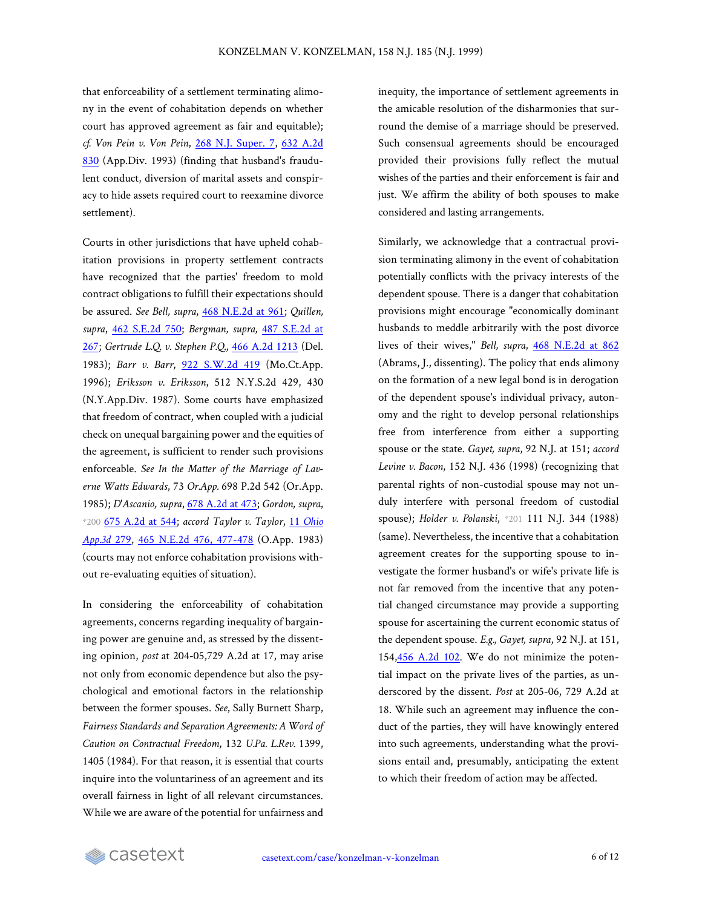that enforceability of a settlement terminating alimony in the event of cohabitation depends on whether court has approved agreement as fair and equitable); *cf. Von Pein v. Von Pein*, 268 N.J. [Super.](https://casetext.com/case/von-pein-v-von-pein) 7, 632 [A.2d](https://casetext.com/case/von-pein-v-von-pein) [830](https://casetext.com/case/von-pein-v-von-pein) (App.Div. 1993) (finding that husband's fraudulent conduct, diversion of marital assets and conspiracy to hide assets required court to reexamine divorce settlement).

Courts in other jurisdictions that have upheld cohabitation provisions in property settlement contracts have recognized that the parties' freedom to mold contract obligations to fulfill their expectations should be assured. *See Bell, supra*, 468 [N.E.2d](https://casetext.com/case/bell-v-bell-21#p961) at 961; *Quillen, supra*, 462 [S.E.2d](https://casetext.com/case/quillen-v-quillen-5) 750; *Bergman, supra,* 487 [S.E.2d](https://casetext.com/case/bergman-v-bergman-19#p267) at [267](https://casetext.com/case/bergman-v-bergman-19#p267); *Gertrude L.Q. v. Stephen P.Q.*, 466 A.2d [1213](https://casetext.com/case/gertrude-lq-v-stephen-pq) (Del. 1983); *Barr v. Barr*, 922 [S.W.2d](https://casetext.com/case/barr-v-barr-29) 419 (Mo.Ct.App. 1996); *Eriksson v. Eriksson*, 512 N.Y.S.2d 429, 430 (N.Y.App.Div. 1987). Some courts have emphasized that freedom of contract, when coupled with a judicial check on unequal bargaining power and the equities of the agreement, is sufficient to render such provisions enforceable. *See In the Matter of the Marriage of Laverne Watts Edwards*, 73 *Or.App.* 698 P.2d 542 (Or.App. 1985); *D'Ascanio, supra*, 678 [A.2d](https://casetext.com/case/dascanio-v-dascanio#p473) at 473; *Gordon, supra*, \*200 675 [A.2d](https://casetext.com/case/gordon-v-gordon-162#p544) at 544; *accord Taylor v. Taylor*, 11 *[Ohio](https://casetext.com/case/taylor-v-taylor-209) [App.3d](https://casetext.com/case/taylor-v-taylor-209)* 279, 465 N.E.2d 476, [477-478](https://casetext.com/case/taylor-v-taylor-209#p477) (O.App. 1983) (courts may not enforce cohabitation provisions without re-evaluating equities of situation).

In considering the enforceability of cohabitation agreements, concerns regarding inequality of bargaining power are genuine and, as stressed by the dissenting opinion, *post* at 204-05,729 A.2d at 17, may arise not only from economic dependence but also the psychological and emotional factors in the relationship between the former spouses. *See*, Sally Burnett Sharp, *Fairness Standards and Separation Agreements: A Word of Caution on Contractual Freedom*, 132 *U.Pa. L.Rev.* 1399, 1405 (1984). For that reason, it is essential that courts inquire into the voluntariness of an agreement and its overall fairness in light of all relevant circumstances. While we are aware of the potential for unfairness and

inequity, the importance of settlement agreements in the amicable resolution of the disharmonies that surround the demise of a marriage should be preserved. Such consensual agreements should be encouraged provided their provisions fully reflect the mutual wishes of the parties and their enforcement is fair and just. We affirm the ability of both spouses to make considered and lasting arrangements.

Similarly, we acknowledge that a contractual provision terminating alimony in the event of cohabitation potentially conflicts with the privacy interests of the dependent spouse. There is a danger that cohabitation provisions might encourage "economically dominant husbands to meddle arbitrarily with the post divorce lives of their wives," *Bell, supra*, 468 [N.E.2d](https://casetext.com/case/bell-v-bell-21#p862) at 862 (Abrams, J., dissenting). The policy that ends alimony on the formation of a new legal bond is in derogation of the dependent spouse's individual privacy, autonomy and the right to develop personal relationships free from interference from either a supporting spouse or the state. *Gayet, supra*, 92 N.J. at 151; *accord Levine v. Bacon*, 152 N.J. 436 (1998) (recognizing that parental rights of non-custodial spouse may not unduly interfere with personal freedom of custodial spouse); *Holder v. Polanski*, \*201 111 N.J. 344 (1988) (same). Nevertheless, the incentive that a cohabitation agreement creates for the supporting spouse to investigate the former husband's or wife's private life is not far removed from the incentive that any potential changed circumstance may provide a supporting spouse for ascertaining the current economic status of the dependent spouse. *E.g., Gayet, supra*, 92 N.J. at 151, 154,456 [A.2d](https://casetext.com/case/gayet-v-gayet) 102. We do not minimize the potential impact on the private lives of the parties, as underscored by the dissent. *Post* at 205-06, 729 A.2d at 18. While such an agreement may influence the conduct of the parties, they will have knowingly entered into such agreements, understanding what the provisions entail and, presumably, anticipating the extent to which their freedom of action may be affected.

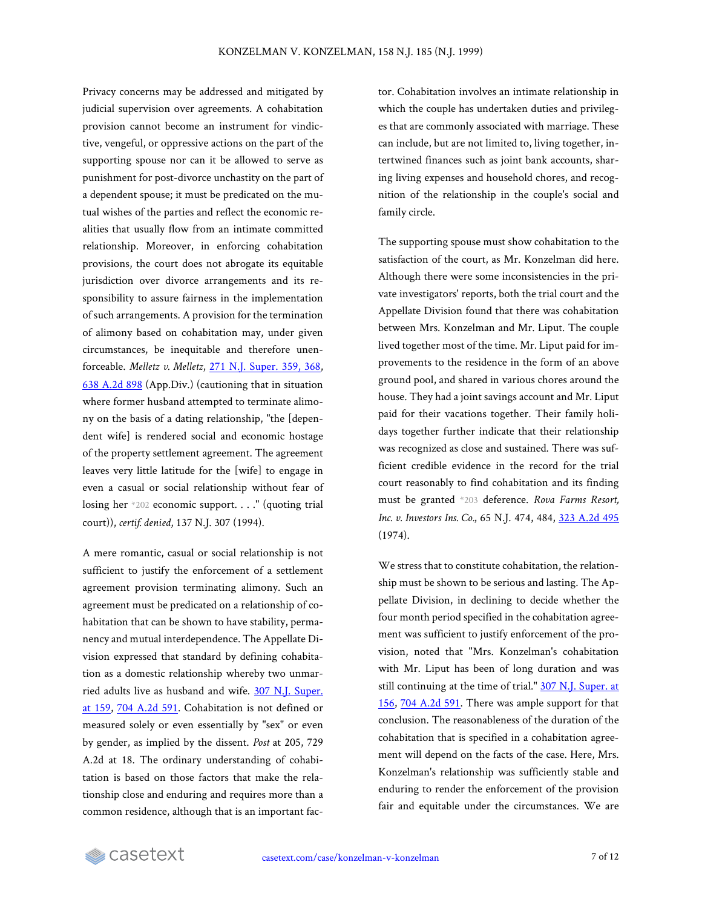Privacy concerns may be addressed and mitigated by judicial supervision over agreements. A cohabitation provision cannot become an instrument for vindictive, vengeful, or oppressive actions on the part of the supporting spouse nor can it be allowed to serve as punishment for post-divorce unchastity on the part of a dependent spouse; it must be predicated on the mutual wishes of the parties and reflect the economic realities that usually flow from an intimate committed relationship. Moreover, in enforcing cohabitation provisions, the court does not abrogate its equitable jurisdiction over divorce arrangements and its responsibility to assure fairness in the implementation of such arrangements. A provision for the termination of alimony based on cohabitation may, under given circumstances, be inequitable and therefore unenforceable. *Melletz v. Melletz*, 271 N.J. [Super.](https://casetext.com/case/melletz-v-melletz-1#p368) 359, 368, 638 [A.2d](https://casetext.com/case/melletz-v-melletz-1) 898 (App.Div.) (cautioning that in situation where former husband attempted to terminate alimony on the basis of a dating relationship, "the [dependent wife] is rendered social and economic hostage of the property settlement agreement. The agreement leaves very little latitude for the [wife] to engage in even a casual or social relationship without fear of losing her \*202 economic support. . . ." (quoting trial court)), *certif. denied*, 137 N.J. 307 (1994).

A mere romantic, casual or social relationship is not sufficient to justify the enforcement of a settlement agreement provision terminating alimony. Such an agreement must be predicated on a relationship of cohabitation that can be shown to have stability, permanency and mutual interdependence. The Appellate Division expressed that standard by defining cohabitation as a domestic relationship whereby two unmarried adults live as husband and wife. 307 N.J. [Super.](https://casetext.com/case/konzelman-v-konzelman-2#p159) at [159,](https://casetext.com/case/konzelman-v-konzelman-2#p159) 704 [A.2d](https://casetext.com/case/konzelman-v-konzelman-2) 591. Cohabitation is not defined or measured solely or even essentially by "sex" or even by gender, as implied by the dissent. *Post* at 205, 729 A.2d at 18. The ordinary understanding of cohabitation is based on those factors that make the relationship close and enduring and requires more than a common residence, although that is an important factor. Cohabitation involves an intimate relationship in which the couple has undertaken duties and privileges that are commonly associated with marriage. These can include, but are not limited to, living together, intertwined finances such as joint bank accounts, sharing living expenses and household chores, and recognition of the relationship in the couple's social and family circle.

The supporting spouse must show cohabitation to the satisfaction of the court, as Mr. Konzelman did here. Although there were some inconsistencies in the private investigators' reports, both the trial court and the Appellate Division found that there was cohabitation between Mrs. Konzelman and Mr. Liput. The couple lived together most of the time. Mr. Liput paid for improvements to the residence in the form of an above ground pool, and shared in various chores around the house. They had a joint savings account and Mr. Liput paid for their vacations together. Their family holidays together further indicate that their relationship was recognized as close and sustained. There was sufficient credible evidence in the record for the trial court reasonably to find cohabitation and its finding must be granted \*203 deference. *Rova Farms Resort, Inc. v. Investors Ins. Co.*, 65 N.J. 474, 484, 323 [A.2d](https://casetext.com/case/rova-farms-resort-v-investors-ins-co-1) 495 (1974).

We stress that to constitute cohabitation, the relationship must be shown to be serious and lasting. The Appellate Division, in declining to decide whether the four month period specified in the cohabitation agreement was sufficient to justify enforcement of the provision, noted that "Mrs. Konzelman's cohabitation with Mr. Liput has been of long duration and was still continuing at the time of trial." 307 N.J. [Super.](https://casetext.com/case/konzelman-v-konzelman-2#p156) at [156](https://casetext.com/case/konzelman-v-konzelman-2#p156), 704 [A.2d](https://casetext.com/case/konzelman-v-konzelman-2) 591. There was ample support for that conclusion. The reasonableness of the duration of the cohabitation that is specified in a cohabitation agreement will depend on the facts of the case. Here, Mrs. Konzelman's relationship was sufficiently stable and enduring to render the enforcement of the provision fair and equitable under the circumstances. We are

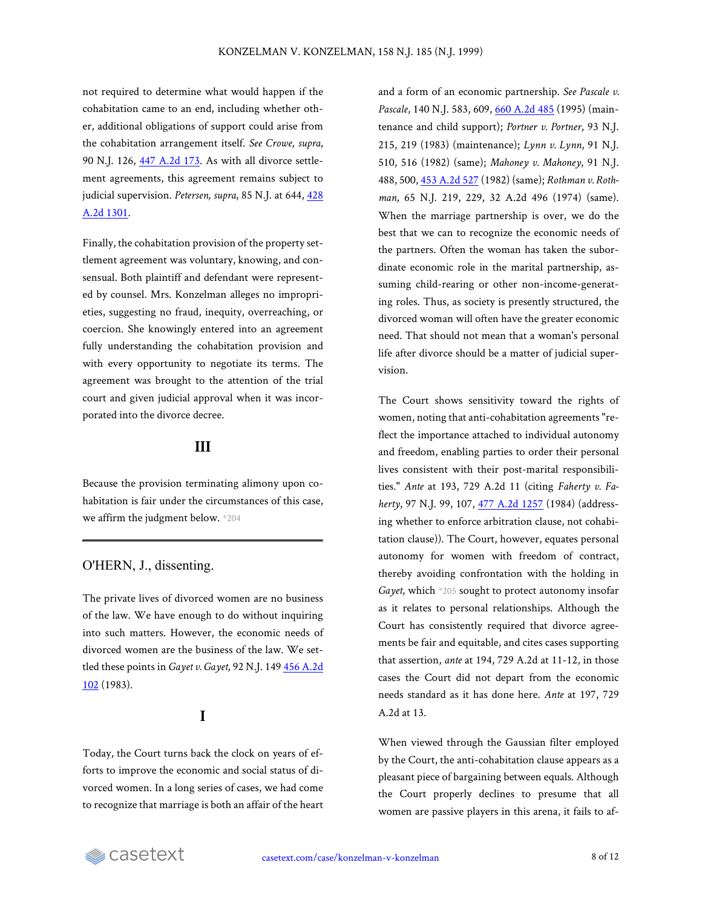not required to determine what would happen if the cohabitation came to an end, including whether other, additional obligations of support could arise from the cohabitation arrangement itself. *See Crowe, supra*, 90 N.J. 126, 447 [A.2d](https://casetext.com/case/crowe-v-de-gioia-3) 173. As with all divorce settlement agreements, this agreement remains subject to judicial supervision. *Petersen, supra*, 85 N.J. at 644, [428](https://casetext.com/case/petersen-v-petersen-18) [A.2d 1301.](https://casetext.com/case/petersen-v-petersen-18)

Finally, the cohabitation provision of the property settlement agreement was voluntary, knowing, and consensual. Both plaintiff and defendant were represented by counsel. Mrs. Konzelman alleges no improprieties, suggesting no fraud, inequity, overreaching, or coercion. She knowingly entered into an agreement fully understanding the cohabitation provision and with every opportunity to negotiate its terms. The agreement was brought to the attention of the trial court and given judicial approval when it was incorporated into the divorce decree.

#### **III**

Because the provision terminating alimony upon cohabitation is fair under the circumstances of this case, we affirm the judgment below. \*204

#### O'HERN, J., dissenting.

The private lives of divorced women are no business of the law. We have enough to do without inquiring into such matters. However, the economic needs of divorced women are the business of the law. We settled these points in *Gayet v. Gayet*, 92 N.J. 149 456 [A.2d](https://casetext.com/case/gayet-v-gayet) [102](https://casetext.com/case/gayet-v-gayet) (1983).

## **I**

Today, the Court turns back the clock on years of efforts to improve the economic and social status of divorced women. In a long series of cases, we had come to recognize that marriage is both an affair of the heart and a form of an economic partnership. *See Pascale v. Pascale*, 140 N.J. 583, 609, 660 [A.2d](https://casetext.com/case/pascale-v-pascale-7) 485 (1995) (maintenance and child support); *Portner v. Portner*, 93 N.J. 215, 219 (1983) (maintenance); *Lynn v. Lynn*, 91 N.J. 510, 516 (1982) (same); *Mahoney v. Mahoney*, 91 N.J. 488, 500, 453 [A.2d](https://casetext.com/case/mahoney-v-mahoney-35) 527 (1982) (same); *Rothman v. Rothman*, 65 N.J. 219, 229, 32 A.2d 496 (1974) (same). When the marriage partnership is over, we do the best that we can to recognize the economic needs of the partners. Often the woman has taken the subordinate economic role in the marital partnership, assuming child-rearing or other non-income-generating roles. Thus, as society is presently structured, the divorced woman will often have the greater economic need. That should not mean that a woman's personal life after divorce should be a matter of judicial supervision.

The Court shows sensitivity toward the rights of women, noting that anti-cohabitation agreements "reflect the importance attached to individual autonomy and freedom, enabling parties to order their personal lives consistent with their post-marital responsibilities." *Ante* at 193, 729 A.2d 11 (citing *Faherty v. Faherty*, 97 N.J. 99, 107, 477 A.2d [1257](https://casetext.com/case/faherty-v-faherty) (1984) (addressing whether to enforce arbitration clause, not cohabitation clause)). The Court, however, equates personal autonomy for women with freedom of contract, thereby avoiding confrontation with the holding in *Gayet*, which \*205 sought to protect autonomy insofar as it relates to personal relationships. Although the Court has consistently required that divorce agreements be fair and equitable, and cites cases supporting that assertion, *ante* at 194, 729 A.2d at 11-12, in those cases the Court did not depart from the economic needs standard as it has done here. *Ante* at 197, 729 A.2d at 13.

When viewed through the Gaussian filter employed by the Court, the anti-cohabitation clause appears as a pleasant piece of bargaining between equals. Although the Court properly declines to presume that all women are passive players in this arena, it fails to af-

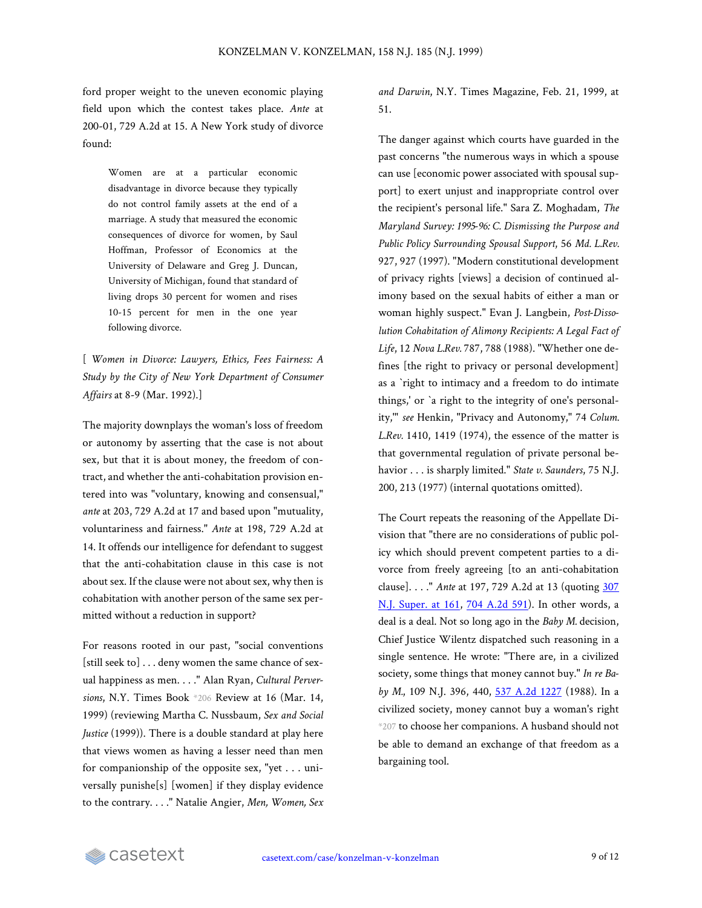ford proper weight to the uneven economic playing field upon which the contest takes place. *Ante* at 200-01, 729 A.2d at 15. A New York study of divorce found:

> Women are at a particular economic disadvantage in divorce because they typically do not control family assets at the end of a marriage. A study that measured the economic consequences of divorce for women, by Saul Hoffman, Professor of Economics at the University of Delaware and Greg J. Duncan, University of Michigan, found that standard of living drops 30 percent for women and rises 10-15 percent for men in the one year following divorce.

[ *Women in Divorce: Lawyers, Ethics, Fees Fairness: A Study by the City of New York Department of Consumer Affairs* at 8-9 (Mar. 1992).]

The majority downplays the woman's loss of freedom or autonomy by asserting that the case is not about sex, but that it is about money, the freedom of contract, and whether the anti-cohabitation provision entered into was "voluntary, knowing and consensual," *ante* at 203, 729 A.2d at 17 and based upon "mutuality, voluntariness and fairness." *Ante* at 198, 729 A.2d at 14. It offends our intelligence for defendant to suggest that the anti-cohabitation clause in this case is not about sex. If the clause were not about sex, why then is cohabitation with another person of the same sex permitted without a reduction in support?

For reasons rooted in our past, "social conventions [still seek to] . . . deny women the same chance of sexual happiness as men. . . ." Alan Ryan, *Cultural Perversions*, N.Y. Times Book \*206 Review at 16 (Mar. 14, 1999) (reviewing Martha C. Nussbaum, *Sex and Social Justice* (1999)). There is a double standard at play here that views women as having a lesser need than men for companionship of the opposite sex, "yet . . . universally punishe[s] [women] if they display evidence to the contrary. . . ." Natalie Angier, *Men, Women, Sex* *and Darwin*, N.Y. Times Magazine, Feb. 21, 1999, at 51.

The danger against which courts have guarded in the past concerns "the numerous ways in which a spouse can use [economic power associated with spousal support] to exert unjust and inappropriate control over the recipient's personal life." Sara Z. Moghadam, *The Maryland Survey: 1995-96: C. Dismissing the Purpose and Public Policy Surrounding Spousal Support*, 56 *Md. L.Rev.* 927, 927 (1997). "Modern constitutional development of privacy rights [views] a decision of continued alimony based on the sexual habits of either a man or woman highly suspect." Evan J. Langbein, *Post-Dissolution Cohabitation of Alimony Recipients: A Legal Fact of Life*, 12 *Nova L.Rev.* 787, 788 (1988). "Whether one defines [the right to privacy or personal development] as a `right to intimacy and a freedom to do intimate things,' or `a right to the integrity of one's personality,'" *see* Henkin, "Privacy and Autonomy," 74 *Colum. L.Rev.* 1410, 1419 (1974), the essence of the matter is that governmental regulation of private personal behavior . . . is sharply limited." *State v. Saunders*, 75 N.J. 200, 213 (1977) (internal quotations omitted).

The Court repeats the reasoning of the Appellate Division that "there are no considerations of public policy which should prevent competent parties to a divorce from freely agreeing [to an anti-cohabitation clause]. . . ." *Ante* at 197, 729 A.2d at 13 (quoting [307](https://casetext.com/case/konzelman-v-konzelman-2#p161) N.J. [Super.](https://casetext.com/case/konzelman-v-konzelman-2#p161) at 161, 704 [A.2d](https://casetext.com/case/konzelman-v-konzelman-2) 591). In other words, a deal is a deal. Not so long ago in the *Baby M.* decision, Chief Justice Wilentz dispatched such reasoning in a single sentence. He wrote: "There are, in a civilized society, some things that money cannot buy." *In re Baby M.*, 109 N.J. 396, 440, 537 A.2d [1227](https://casetext.com/case/matter-of-baby-m-2) (1988). In a civilized society, money cannot buy a woman's right \*207 to choose her companions. A husband should not be able to demand an exchange of that freedom as a bargaining tool.

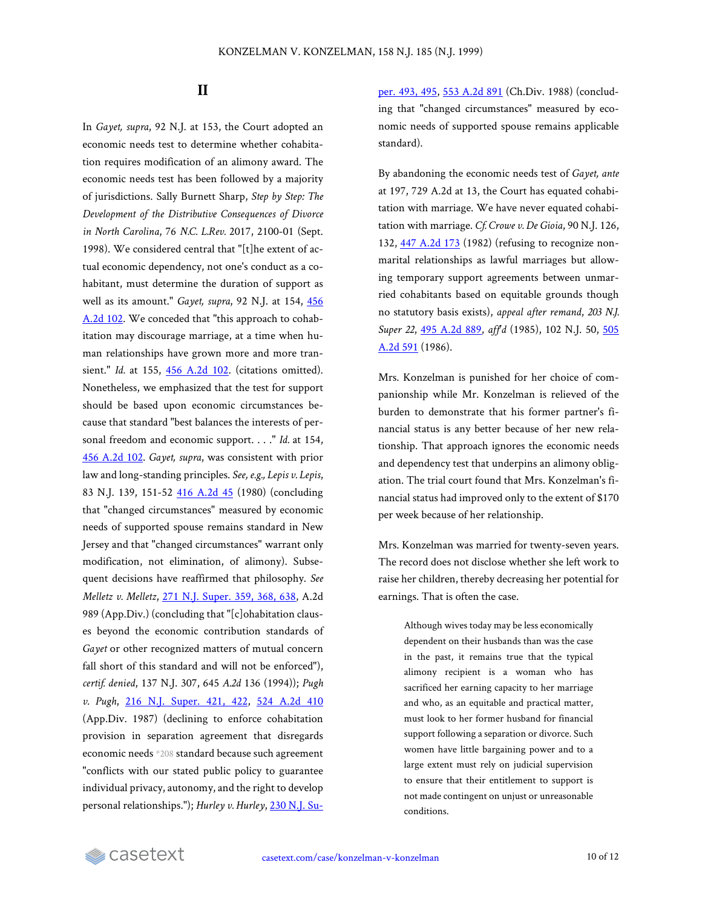#### **II**

In *Gayet, supra*, 92 N.J. at 153, the Court adopted an economic needs test to determine whether cohabitation requires modification of an alimony award. The economic needs test has been followed by a majority of jurisdictions. Sally Burnett Sharp, *Step by Step: The Development of the Distributive Consequences of Divorce in North Carolina*, 76 *N.C. L.Rev.* 2017, 2100-01 (Sept. 1998). We considered central that "[t]he extent of actual economic dependency, not one's conduct as a cohabitant, must determine the duration of support as well as its amount." *Gayet, supra*, 92 N.J. at 154, [456](https://casetext.com/case/gayet-v-gayet) [A.2d](https://casetext.com/case/gayet-v-gayet) 102. We conceded that "this approach to cohabitation may discourage marriage, at a time when human relationships have grown more and more transient." *Id.* at 155, 456 [A.2d](https://casetext.com/case/gayet-v-gayet) 102. (citations omitted). Nonetheless, we emphasized that the test for support should be based upon economic circumstances because that standard "best balances the interests of personal freedom and economic support. . . ." *Id.* at 154, 456 [A.2d](https://casetext.com/case/gayet-v-gayet) 102. *Gayet, supra*, was consistent with prior law and long-standing principles. *See, e.g., Lepis v. Lepis*, 83 N.J. 139, 151-52 416 [A.2d](https://casetext.com/case/lepis-v-lepis-1) 45 (1980) (concluding that "changed circumstances" measured by economic needs of supported spouse remains standard in New Jersey and that "changed circumstances" warrant only modification, not elimination, of alimony). Subsequent decisions have reaffirmed that philosophy. *See Melletz v. Melletz*, 271 N.J. [Super.](https://casetext.com/case/melletz-v-melletz-1#p368) 359, 368, 638, A.2d 989 (App.Div.) (concluding that "[c]ohabitation clauses beyond the economic contribution standards of *Gayet* or other recognized matters of mutual concern fall short of this standard and will not be enforced"), *certif. denied*, 137 N.J. 307, 645 *A.2d* 136 (1994)); *Pugh v. Pugh*, 216 N.J. [Super.](https://casetext.com/case/pugh-v-pugh-14#p422) 421, 422, 524 [A.2d](https://casetext.com/case/pugh-v-pugh-14) 410 (App.Div. 1987) (declining to enforce cohabitation provision in separation agreement that disregards economic needs \*208 standard because such agreement "conflicts with our stated public policy to guarantee individual privacy, autonomy, and the right to develop personal relationships."); *Hurley v. Hurley*, 230 [N.J.](https://casetext.com/case/hurley-v-hurley-35#p495) Super. [493,](https://casetext.com/case/hurley-v-hurley-35#p495) 495, 553 [A.2d](https://casetext.com/case/hurley-v-hurley-35) 891 (Ch.Div. 1988) (concluding that "changed circumstances" measured by economic needs of supported spouse remains applicable standard).

By abandoning the economic needs test of *Gayet, ante* at 197, 729 A.2d at 13, the Court has equated cohabitation with marriage. We have never equated cohabitation with marriage. *Cf. Crowe v. De Gioia*, 90 N.J. 126, 132, 447 [A.2d](https://casetext.com/case/crowe-v-de-gioia-3) 173 (1982) (refusing to recognize nonmarital relationships as lawful marriages but allowing temporary support agreements between unmarried cohabitants based on equitable grounds though no statutory basis exists), *appeal after remand*, *203 N.J. Super 22*, 495 [A.2d](https://casetext.com/case/crowe-v-de-gioia) 889, *aff'd* (1985), 102 N.J. 50, [505](https://casetext.com/case/crowe-v-de-gioia-4) [A.2d 591](https://casetext.com/case/crowe-v-de-gioia-4) (1986).

Mrs. Konzelman is punished for her choice of companionship while Mr. Konzelman is relieved of the burden to demonstrate that his former partner's financial status is any better because of her new relationship. That approach ignores the economic needs and dependency test that underpins an alimony obligation. The trial court found that Mrs. Konzelman's financial status had improved only to the extent of \$170 per week because of her relationship.

Mrs. Konzelman was married for twenty-seven years. The record does not disclose whether she left work to raise her children, thereby decreasing her potential for earnings. That is often the case.

Although wives today may be less economically dependent on their husbands than was the case in the past, it remains true that the typical alimony recipient is a woman who has sacrificed her earning capacity to her marriage and who, as an equitable and practical matter, must look to her former husband for financial support following a separation or divorce. Such women have little bargaining power and to a large extent must rely on judicial supervision to ensure that their entitlement to support is not made contingent on unjust or unreasonable conditions.

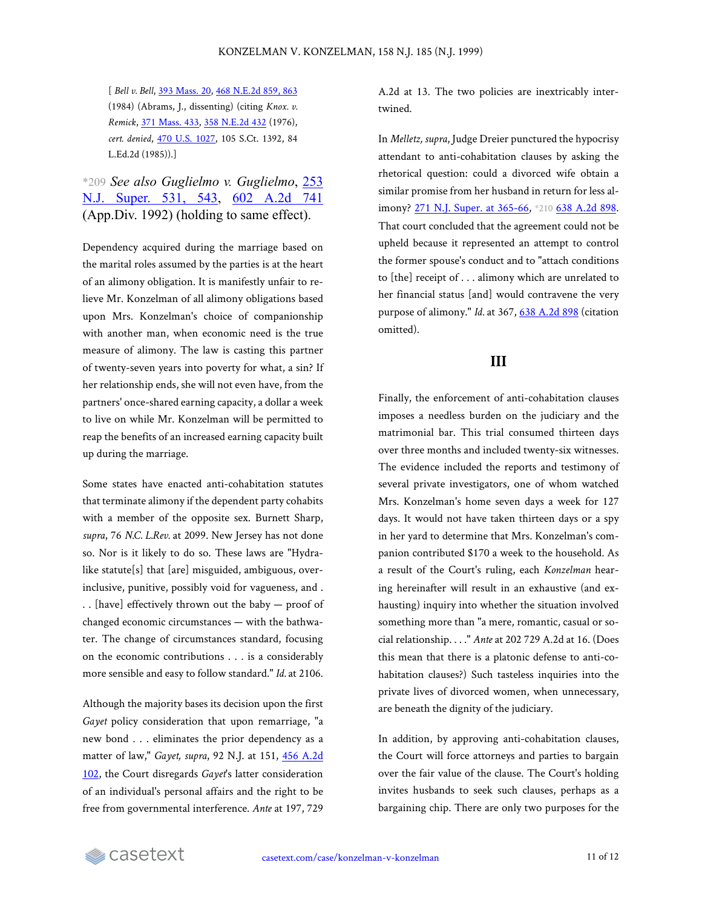[ *Bell v. Bell*, 393 [Mass.](https://casetext.com/case/bell-v-bell-21) 20, 468 [N.E.2d](https://casetext.com/case/bell-v-bell-21#p863) 859, 863 (1984) (Abrams, J., dissenting) (citing *Knox. v. Remick*, 371 [Mass.](https://casetext.com/case/knox-v-remick) 433, 358 [N.E.2d](https://casetext.com/case/knox-v-remick) 432 (1976), *cert. denied*, 470 U.S. [1027,](https://casetext.com/case/battipaglia-v-new-york-state-liquor-authority) 105 S.Ct. 1392, 84 L.Ed.2d (1985)).]

## \*209 *See also Guglielmo v. Guglielmo*, [253](https://casetext.com/case/guglielmo-v-guglielmo#p543) N.J. [Super.](https://casetext.com/case/guglielmo-v-guglielmo#p543) 531, 543, 602 [A.2d](https://casetext.com/case/guglielmo-v-guglielmo) 741 (App.Div. 1992) (holding to same effect).

Dependency acquired during the marriage based on the marital roles assumed by the parties is at the heart of an alimony obligation. It is manifestly unfair to relieve Mr. Konzelman of all alimony obligations based upon Mrs. Konzelman's choice of companionship with another man, when economic need is the true measure of alimony. The law is casting this partner of twenty-seven years into poverty for what, a sin? If her relationship ends, she will not even have, from the partners' once-shared earning capacity, a dollar a week to live on while Mr. Konzelman will be permitted to reap the benefits of an increased earning capacity built up during the marriage.

Some states have enacted anti-cohabitation statutes that terminate alimony if the dependent party cohabits with a member of the opposite sex. Burnett Sharp, *supra*, 76 *N.C. L.Rev.* at 2099. New Jersey has not done so. Nor is it likely to do so. These laws are "Hydralike statute[s] that [are] misguided, ambiguous, overinclusive, punitive, possibly void for vagueness, and . . . [have] effectively thrown out the baby — proof of changed economic circumstances — with the bathwater. The change of circumstances standard, focusing on the economic contributions . . . is a considerably more sensible and easy to follow standard." *Id.* at 2106.

Although the majority bases its decision upon the first *Gayet* policy consideration that upon remarriage, "a new bond . . . eliminates the prior dependency as a matter of law," *Gayet, supra*, 92 N.J. at 151, 456 [A.2d](https://casetext.com/case/gayet-v-gayet) [102](https://casetext.com/case/gayet-v-gayet), the Court disregards *Gayet*'s latter consideration of an individual's personal affairs and the right to be free from governmental interference. *Ante* at 197, 729

A.2d at 13. The two policies are inextricably intertwined.

In *Melletz, supra*, Judge Dreier punctured the hypocrisy attendant to anti-cohabitation clauses by asking the rhetorical question: could a divorced wife obtain a similar promise from her husband in return for less al-imony? 271 N.J. Super. at [365-66](https://casetext.com/case/melletz-v-melletz-1#p365), \*210 638 [A.2d](https://casetext.com/case/melletz-v-melletz-1) 898. That court concluded that the agreement could not be upheld because it represented an attempt to control the former spouse's conduct and to "attach conditions to [the] receipt of . . . alimony which are unrelated to her financial status [and] would contravene the very purpose of alimony." *Id.* at 367, 638 [A.2d](https://casetext.com/case/melletz-v-melletz-1) 898 (citation omitted).

#### **III**

Finally, the enforcement of anti-cohabitation clauses imposes a needless burden on the judiciary and the matrimonial bar. This trial consumed thirteen days over three months and included twenty-six witnesses. The evidence included the reports and testimony of several private investigators, one of whom watched Mrs. Konzelman's home seven days a week for 127 days. It would not have taken thirteen days or a spy in her yard to determine that Mrs. Konzelman's companion contributed \$170 a week to the household. As a result of the Court's ruling, each *Konzelman* hearing hereinafter will result in an exhaustive (and exhausting) inquiry into whether the situation involved something more than "a mere, romantic, casual or social relationship. . . ." *Ante* at 202 729 A.2d at 16. (Does this mean that there is a platonic defense to anti-cohabitation clauses?) Such tasteless inquiries into the private lives of divorced women, when unnecessary, are beneath the dignity of the judiciary.

In addition, by approving anti-cohabitation clauses, the Court will force attorneys and parties to bargain over the fair value of the clause. The Court's holding invites husbands to seek such clauses, perhaps as a bargaining chip. There are only two purposes for the